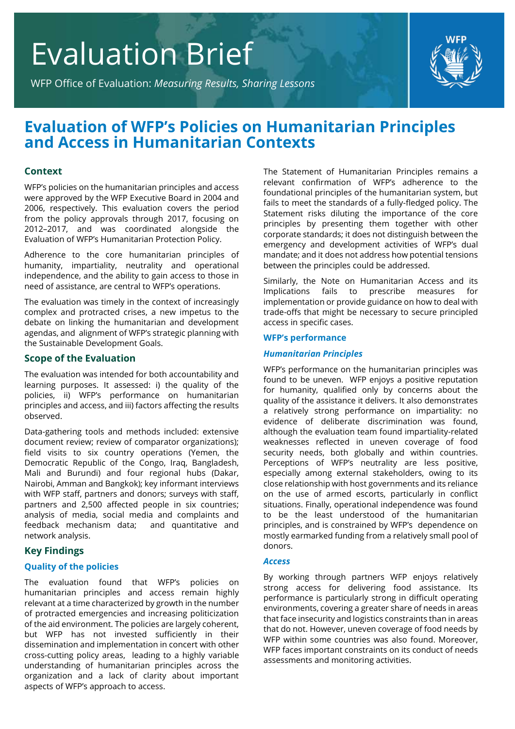# Evaluation Brief

WFP Office of Evaluation: *Measuring Results, Sharing Lessons*



# **Evaluation of WFP's Policies on Humanitarian Principles and Access in Humanitarian Contexts**

## **Context**

WFP's policies on the humanitarian principles and access were approved by the WFP Executive Board in 2004 and 2006, respectively. This evaluation covers the period from the policy approvals through 2017, focusing on 2012–2017, and was coordinated alongside the Evaluation of WFP's Humanitarian Protection Policy.

Adherence to the core humanitarian principles of humanity, impartiality, neutrality and operational independence, and the ability to gain access to those in need of assistance, are central to WFP's operations.

The evaluation was timely in the context of increasingly complex and protracted crises, a new impetus to the debate on linking the humanitarian and development agendas, and alignment of WFP's strategic planning with the Sustainable Development Goals.

### **Scope of the Evaluation**

The evaluation was intended for both accountability and learning purposes. It assessed: i) the quality of the policies, ii) WFP's performance on humanitarian principles and access, and iii) factors affecting the results observed.

Data-gathering tools and methods included: extensive document review; review of comparator organizations); field visits to six country operations (Yemen, the Democratic Republic of the Congo, Iraq, Bangladesh, Mali and Burundi) and four regional hubs (Dakar, Nairobi, Amman and Bangkok); key informant interviews with WFP staff, partners and donors; surveys with staff, partners and 2,500 affected people in six countries; analysis of media, social media and complaints and feedback mechanism data; and quantitative and network analysis.

# **Key Findings**

# **Quality of the policies**

The evaluation found that WFP's policies on humanitarian principles and access remain highly relevant at a time characterized by growth in the number of protracted emergencies and increasing politicization of the aid environment. The policies are largely coherent, but WFP has not invested sufficiently in their dissemination and implementation in concert with other cross-cutting policy areas, leading to a highly variable understanding of humanitarian principles across the organization and a lack of clarity about important aspects of WFP's approach to access.

The Statement of Humanitarian Principles remains a relevant confirmation of WFP's adherence to the foundational principles of the humanitarian system, but fails to meet the standards of a fully-fledged policy. The Statement risks diluting the importance of the core principles by presenting them together with other corporate standards; it does not distinguish between the emergency and development activities of WFP's dual mandate; and it does not address how potential tensions between the principles could be addressed.

Similarly, the Note on Humanitarian Access and its Implications fails to prescribe measures for implementation or provide guidance on how to deal with trade-offs that might be necessary to secure principled access in specific cases.

#### **WFP's performance**

#### *Humanitarian Principles*

WFP's performance on the humanitarian principles was found to be uneven. WFP enjoys a positive reputation for humanity, qualified only by concerns about the quality of the assistance it delivers. It also demonstrates a relatively strong performance on impartiality: no evidence of deliberate discrimination was found, although the evaluation team found impartiality-related weaknesses reflected in uneven coverage of food security needs, both globally and within countries. Perceptions of WFP's neutrality are less positive, especially among external stakeholders, owing to its close relationship with host governments and its reliance on the use of armed escorts, particularly in conflict situations. Finally, operational independence was found to be the least understood of the humanitarian principles, and is constrained by WFP's dependence on mostly earmarked funding from a relatively small pool of donors.

#### *Access*

By working through partners WFP enjoys relatively strong access for delivering food assistance. Its performance is particularly strong in difficult operating environments, covering a greater share of needs in areas that face insecurity and logistics constraints than in areas that do not. However, uneven coverage of food needs by WFP within some countries was also found. Moreover, WFP faces important constraints on its conduct of needs assessments and monitoring activities.